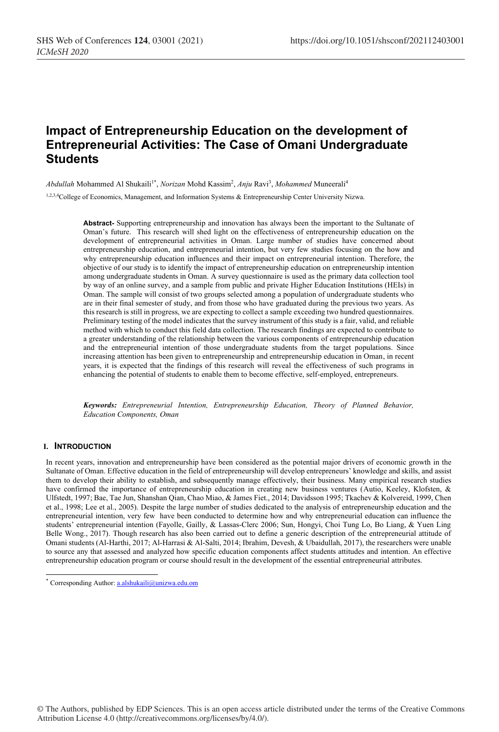# **Impact of Entrepreneurship Education on the development of Entrepreneurial Activities: The Case of Omani Undergraduate Students**

*Abdullah* Mohammed Al Shukaili<sup>1\*</sup>, *Norizan* Mohd Kassim<sup>2</sup>, *Anju* Ravi<sup>3</sup>, *Mohammed* Muneerali<sup>4</sup>

1,2,3,4College of Economics, Management, and Information Systems & Entrepreneurship Center University Nizwa.

**Abstract-** Supporting entrepreneurship and innovation has always been the important to the Sultanate of Oman's future. This research will shed light on the effectiveness of entrepreneurship education on the development of entrepreneurial activities in Oman. Large number of studies have concerned about entrepreneurship education, and entrepreneurial intention, but very few studies focusing on the how and why entrepreneurship education influences and their impact on entrepreneurial intention. Therefore, the objective of our study is to identify the impact of entrepreneurship education on entrepreneurship intention among undergraduate students in Oman. A survey questionnaire is used as the primary data collection tool by way of an online survey, and a sample from public and private Higher Education Institutions (HEIs) in Oman. The sample will consist of two groups selected among a population of undergraduate students who are in their final semester of study, and from those who have graduated during the previous two years. As this research is still in progress, we are expecting to collect a sample exceeding two hundred questionnaires. Preliminary testing of the model indicates that the survey instrument of this study is a fair, valid, and reliable method with which to conduct this field data collection. The research findings are expected to contribute to a greater understanding of the relationship between the various components of entrepreneurship education and the entrepreneurial intention of those undergraduate students from the target populations. Since increasing attention has been given to entrepreneurship and entrepreneurship education in Oman, in recent years, it is expected that the findings of this research will reveal the effectiveness of such programs in enhancing the potential of students to enable them to become effective, self-employed, entrepreneurs.

*Keywords: Entrepreneurial Intention, Entrepreneurship Education, Theory of Planned Behavior, Education Components, Oman*

#### **I. INTRODUCTION**

In recent years, innovation and entrepreneurship have been considered as the potential major drivers of economic growth in the Sultanate of Oman. Effective education in the field of entrepreneurship will develop entrepreneurs' knowledge and skills, and assist them to develop their ability to establish, and subsequently manage effectively, their business. Many empirical research studies have confirmed the importance of entrepreneurship education in creating new business ventures (Autio, Keeley, Klofsten, & Ulfstedt, 1997; Bae, Tae Jun, Shanshan Qian, Chao Miao, & James Fiet., 2014; Davidsson 1995; Tkachev & Kolvereid, 1999, Chen et al., 1998; Lee et al., 2005). Despite the large number of studies dedicated to the analysis of entrepreneurship education and the entrepreneurial intention, very few have been conducted to determine how and why entrepreneurial education can influence the students' entrepreneurial intention (Fayolle, Gailly, & Lassas-Clerc 2006; Sun, Hongyi, Choi Tung Lo, Bo Liang, & Yuen Ling Belle Wong., 2017). Though research has also been carried out to define a generic description of the entrepreneurial attitude of Omani students (Al-Harthi, 2017; Al-Harrasi & Al-Salti, 2014; Ibrahim, Devesh, & Ubaidullah, 2017), the researchers were unable to source any that assessed and analyzed how specific education components affect students attitudes and intention. An effective entrepreneurship education program or course should result in the development of the essential entrepreneurial attributes.

<sup>\*</sup> Corresponding Author: a.alshukaili@unizwa.edu.om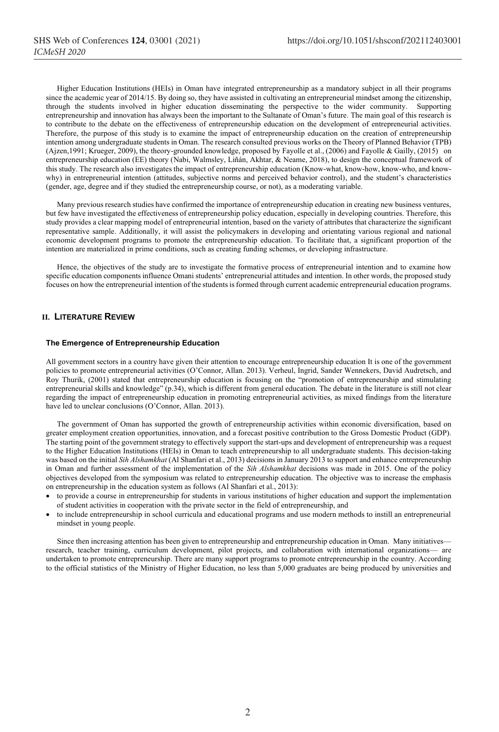Higher Education Institutions (HEIs) in Oman have integrated entrepreneurship as a mandatory subject in all their programs since the academic year of 2014/15. By doing so, they have assisted in cultivating an entrepreneurial mindset among the citizenship, through the students involved in higher education disseminating the perspective to the wider community. Supporting entrepreneurship and innovation has always been the important to the Sultanate of Oman's future. The main goal of this research is to contribute to the debate on the effectiveness of entrepreneurship education on the development of entrepreneurial activities. Therefore, the purpose of this study is to examine the impact of entrepreneurship education on the creation of entrepreneurship intention among undergraduate students in Oman. The research consulted previous works on the Theory of Planned Behavior (TPB) (Ajzen,1991; Krueger, 2009), the theory-grounded knowledge, proposed by Fayolle et al., (2006) and Fayolle & Gailly, (2015) on entrepreneurship education (EE) theory (Nabi, Walmsley, Liñán, Akhtar, & Neame, 2018), to design the conceptual framework of this study. The research also investigates the impact of entrepreneurship education (Know-what, know-how, know-who, and knowwhy) in entrepreneurial intention (attitudes, subjective norms and perceived behavior control), and the student's characteristics (gender, age, degree and if they studied the entrepreneurship course, or not), as a moderating variable.

Many previous research studies have confirmed the importance of entrepreneurship education in creating new business ventures, but few have investigated the effectiveness of entrepreneurship policy education, especially in developing countries. Therefore, this study provides a clear mapping model of entrepreneurial intention, based on the variety of attributes that characterize the significant representative sample. Additionally, it will assist the policymakers in developing and orientating various regional and national economic development programs to promote the entrepreneurship education. To facilitate that, a significant proportion of the intention are materialized in prime conditions, such as creating funding schemes, or developing infrastructure.

Hence, the objectives of the study are to investigate the formative process of entrepreneurial intention and to examine how specific education components influence Omani students' entrepreneurial attitudes and intention. In other words, the proposed study focuses on how the entrepreneurial intention of the students is formed through current academic entrepreneurial education programs.

## **II. LITERATURE REVIEW**

#### **The Emergence of Entrepreneurship Education**

All government sectors in a country have given their attention to encourage entrepreneurship education It is one of the government policies to promote entrepreneurial activities (O'Connor, Allan. 2013). Verheul, Ingrid, Sander Wennekers, David Audretsch, and Roy Thurik, (2001) stated that entrepreneurship education is focusing on the "promotion of entrepreneurship and stimulating entrepreneurial skills and knowledge" (p.34), which is different from general education. The debate in the literature is still not clear regarding the impact of entrepreneurship education in promoting entrepreneurial activities, as mixed findings from the literature have led to unclear conclusions (O'Connor, Allan. 2013).

The government of Oman has supported the growth of entrepreneurship activities within economic diversification, based on greater employment creation opportunities, innovation, and a forecast positive contribution to the Gross Domestic Product (GDP). The starting point of the government strategy to effectively support the start-ups and development of entrepreneurship was a request to the Higher Education Institutions (HEIs) in Oman to teach entrepreneurship to all undergraduate students. This decision-taking was based on the initial *Sih Alshamkhat* (Al Shanfari et al., 2013) decisions in January 2013 to support and enhance entrepreneurship in Oman and further assessment of the implementation of the *Sih Alshamkhat* decisions was made in 2015. One of the policy objectives developed from the symposium was related to entrepreneurship education. The objective was to increase the emphasis on entrepreneurship in the education system as follows (Al Shanfari et al., 2013):

- to provide a course in entrepreneurship for students in various institutions of higher education and support the implementation of student activities in cooperation with the private sector in the field of entrepreneurship, and
- to include entrepreneurship in school curricula and educational programs and use modern methods to instill an entrepreneurial mindset in young people.

Since then increasing attention has been given to entrepreneurship and entrepreneurship education in Oman. Many initiatives research, teacher training, curriculum development, pilot projects, and collaboration with international organizations— are undertaken to promote entrepreneurship. There are many support programs to promote entrepreneurship in the country. According to the official statistics of the Ministry of Higher Education, no less than 5,000 graduates are being produced by universities and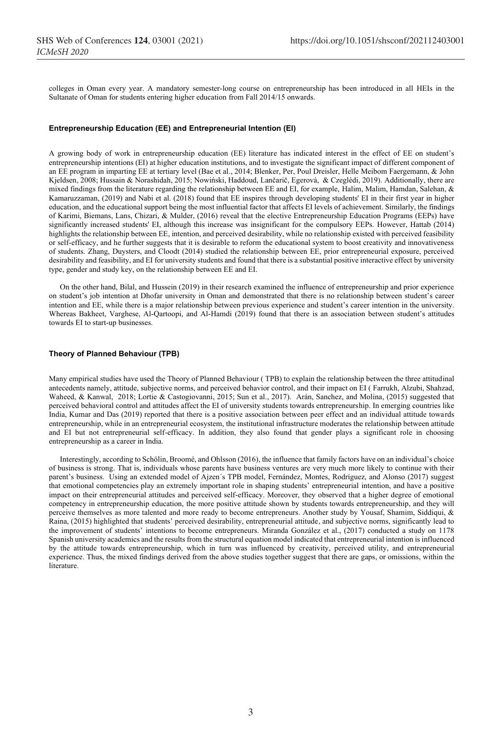colleges in Oman every year. A mandatory semester-long course on entrepreneurship has been introduced in all HEIs in the Sultanate of Oman for students entering higher education from Fall 2014/15 onwards.

#### **Entrepreneurship Education (EE) and Entrepreneurial Intention (EI)**

A growing body of work in entrepreneurship education (EE) literature has indicated interest in the effect of EE on student's entrepreneurship intentions (EI) at higher education institutions, and to investigate the significant impact of different component of an EE program in imparting EE at tertiary level (Bae et al., 2014; Blenker, Per, Poul Dreisler, Helle Meibom Faergemann, & John Kjeldsen, 2008; Hussain & Norashidah, 2015; Nowiński, Haddoud, Lančarič, Egerová, & Czeglédi, 2019). Additionally, there are mixed findings from the literature regarding the relationship between EE and EI, for example, Halim, Malim, Hamdan, Salehan, & Kamaruzzaman, (2019) and Nabi et al. (2018) found that EE inspires through developing students' EI in their first year in higher education, and the educational support being the most influential factor that affects EI levels of achievement. Similarly, the findings of Karimi, Biemans, Lans, Chizari, & Mulder, (2016) reveal that the elective Entrepreneurship Education Programs (EEPs) have significantly increased students' EI, although this increase was insignificant for the compulsory EEPs. However, Hattab (2014) highlights the relationship between EE, intention, and perceived desirability, while no relationship existed with perceived feasibility or self-efficacy, and he further suggests that it is desirable to reform the educational system to boost creativity and innovativeness of students. Zhang, Duysters, and Cloodt (2014) studied the relationship between EE, prior entrepreneurial exposure, perceived desirability and feasibility, and EI for university students and found that there is a substantial positive interactive effect by university type, gender and study key, on the relationship between EE and EI.

On the other hand, Bilal, and Hussein (2019) in their research examined the influence of entrepreneurship and prior experience on student's job intention at Dhofar university in Oman and demonstrated that there is no relationship between student's career intention and EE, while there is a major relationship between previous experience and student's career intention in the university. Whereas Bakheet, Varghese, Al-Qartoopi, and Al-Hamdi (2019) found that there is an association between student's attitudes towards EI to start-up businesses.

#### **Theory of Planned Behaviour (TPB)**

Many empirical studies have used the Theory of Planned Behaviour ( TPB) to explain the relationship between the three attitudinal antecedents namely, attitude, subjective norms, and perceived behavior control, and their impact on EI ( Farrukh, Alzubi, Shahzad, Waheed, & Kanwal, 2018; Lortie & Castogiovanni, 2015; Sun et al., 2017). Arán, Sanchez, and Molina, (2015) suggested that perceived behavioral control and attitudes affect the EI of university students towards entrepreneurship. In emerging countries like India, Kumar and Das (2019) reported that there is a positive association between peer effect and an individual attitude towards entrepreneurship, while in an entrepreneurial ecosystem, the institutional infrastructure moderates the relationship between attitude and EI but not entrepreneurial self-efficacy. In addition, they also found that gender plays a significant role in choosing entrepreneurship as a career in India.

Interestingly, according to Schölin, Broomé, and Ohlsson (2016), the influence that family factors have on an individual's choice of business is strong. That is, individuals whose parents have business ventures are very much more likely to continue with their parent's business. Using an extended model of Ajzen´s TPB model, Fernández, Montes, Rodríguez, and Alonso (2017) suggest that emotional competencies play an extremely important role in shaping students' entrepreneurial intention, and have a positive impact on their entrepreneurial attitudes and perceived self-efficacy. Moreover, they observed that a higher degree of emotional competency in entrepreneurship education, the more positive attitude shown by students towards entrepreneurship, and they will perceive themselves as more talented and more ready to become entrepreneurs. Another study by Yousaf, Shamim, Siddiqui, & Raina, (2015) highlighted that students' perceived desirability, entrepreneurial attitude, and subjective norms, significantly lead to the improvement of students' intentions to become entrepreneurs. Miranda González et al., (2017) conducted a study on 1178 Spanish university academics and the results from the structural equation model indicated that entrepreneurial intention is influenced by the attitude towards entrepreneurship, which in turn was influenced by creativity, perceived utility, and entrepreneurial experience. Thus, the mixed findings derived from the above studies together suggest that there are gaps, or omissions, within the literature.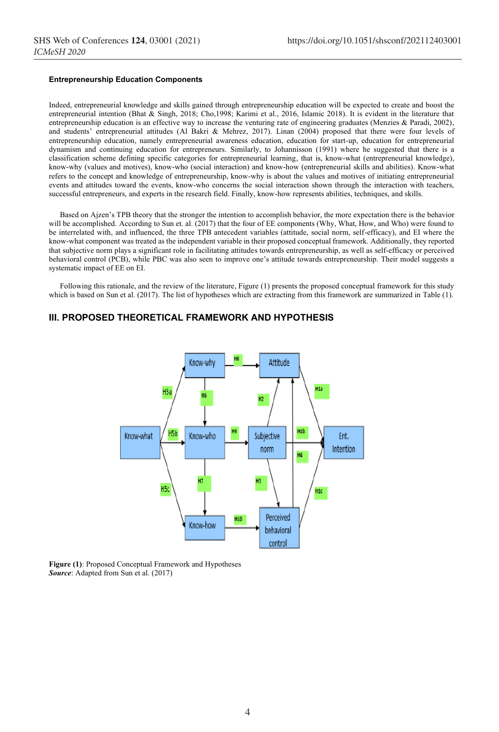### **Entrepreneurship Education Components**

Indeed, entrepreneurial knowledge and skills gained through entrepreneurship education will be expected to create and boost the entrepreneurial intention (Bhat & Singh, 2018; Cho,1998; Karimi et al., 2016, Islamic 2018). It is evident in the literature that entrepreneurship education is an effective way to increase the venturing rate of engineering graduates (Menzies & Paradi, 2002), and students' entrepreneurial attitudes (Al Bakri & Mehrez, 2017). Linan (2004) proposed that there were four levels of entrepreneurship education, namely entrepreneurial awareness education, education for start-up, education for entrepreneurial dynamism and continuing education for entrepreneurs. Similarly, to Johannisson (1991) where he suggested that there is a classification scheme defining specific categories for entrepreneurial learning, that is, know-what (entrepreneurial knowledge), know-why (values and motives), know-who (social interaction) and know-how (entrepreneurial skills and abilities). Know-what refers to the concept and knowledge of entrepreneurship, know-why is about the values and motives of initiating entrepreneurial events and attitudes toward the events, know-who concerns the social interaction shown through the interaction with teachers, successful entrepreneurs, and experts in the research field. Finally, know-how represents abilities, techniques, and skills.

Based on Ajzen's TPB theory that the stronger the intention to accomplish behavior, the more expectation there is the behavior will be accomplished. According to Sun et. al. (2017) that the four of EE components (Why, What, How, and Who) were found to be interrelated with, and influenced, the three TPB antecedent variables (attitude, social norm, self-efficacy), and EI where the know-what component was treated as the independent variable in their proposed conceptual framework. Additionally, they reported that subjective norm plays a significant role in facilitating attitudes towards entrepreneurship, as well as self-efficacy or perceived behavioral control (PCB), while PBC was also seen to improve one's attitude towards entrepreneurship. Their model suggests a systematic impact of EE on EI.

Following this rationale, and the review of the literature, Figure (1) presents the proposed conceptual framework for this study which is based on Sun et al. (2017). The list of hypotheses which are extracting from this framework are summarized in Table (1).

# **III. PROPOSED THEORETICAL FRAMEWORK AND HYPOTHESIS**



**Figure (1)**: Proposed Conceptual Framework and Hypotheses *Source*: Adapted from Sun et al. (2017)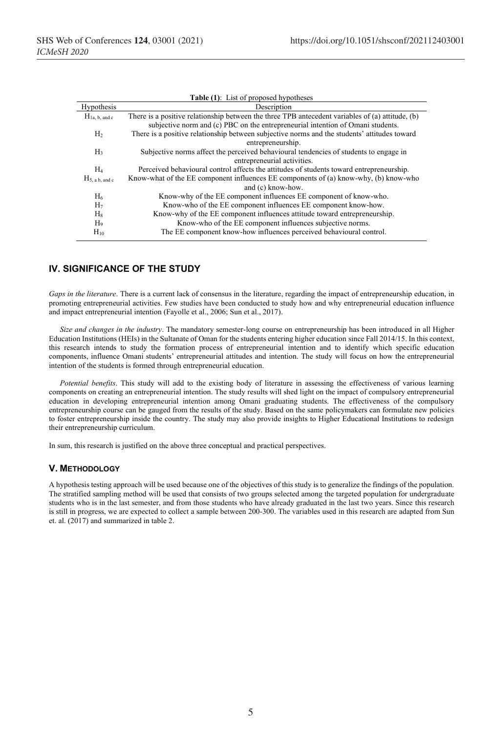| <b>Table (1):</b> List of proposed hypotheses |                                                                                                  |  |  |  |  |  |
|-----------------------------------------------|--------------------------------------------------------------------------------------------------|--|--|--|--|--|
| Hypothesis                                    | Description                                                                                      |  |  |  |  |  |
| $H_{1a, b, and c}$                            | There is a positive relationship between the three TPB antecedent variables of (a) attitude, (b) |  |  |  |  |  |
|                                               | subjective norm and (c) PBC on the entrepreneurial intention of Omani students.                  |  |  |  |  |  |
| H <sub>2</sub>                                | There is a positive relationship between subjective norms and the students' attitudes toward     |  |  |  |  |  |
|                                               | entrepreneurship.                                                                                |  |  |  |  |  |
| H <sub>3</sub>                                | Subjective norms affect the perceived behavioural tendencies of students to engage in            |  |  |  |  |  |
|                                               | entrepreneurial activities.                                                                      |  |  |  |  |  |
| H4                                            | Perceived behavioural control affects the attitudes of students toward entrepreneurship.         |  |  |  |  |  |
| $H_{5, a b, and c}$                           | Know-what of the EE component influences EE components of (a) know-why, (b) know-who             |  |  |  |  |  |
|                                               | and (c) know-how.                                                                                |  |  |  |  |  |
| $H_6$                                         | Know-why of the EE component influences EE component of know-who.                                |  |  |  |  |  |
| H <sub>7</sub>                                | Know-who of the EE component influences EE component know-how.                                   |  |  |  |  |  |
| $H_8$                                         | Know-why of the EE component influences attitude toward entrepreneurship.                        |  |  |  |  |  |
| H <sub>9</sub>                                | Know-who of the EE component influences subjective norms.                                        |  |  |  |  |  |
| $H_{10}$                                      | The EE component know-how influences perceived behavioural control.                              |  |  |  |  |  |
|                                               |                                                                                                  |  |  |  |  |  |

# **IV. SIGNIFICANCE OF THE STUDY**

*Gaps in the literature*. There is a current lack of consensus in the literature, regarding the impact of entrepreneurship education, in promoting entrepreneurial activities. Few studies have been conducted to study how and why entrepreneurial education influence and impact entrepreneurial intention (Fayolle et al., 2006; Sun et al., 2017).

*Size and changes in the industry*. The mandatory semester-long course on entrepreneurship has been introduced in all Higher Education Institutions (HEIs) in the Sultanate of Oman for the students entering higher education since Fall 2014/15. In this context, this research intends to study the formation process of entrepreneurial intention and to identify which specific education components, influence Omani students' entrepreneurial attitudes and intention. The study will focus on how the entrepreneurial intention of the students is formed through entrepreneurial education.

*Potential benefits*. This study will add to the existing body of literature in assessing the effectiveness of various learning components on creating an entrepreneurial intention. The study results will shed light on the impact of compulsory entrepreneurial education in developing entrepreneurial intention among Omani graduating students. The effectiveness of the compulsory entrepreneurship course can be gauged from the results of the study. Based on the same policymakers can formulate new policies to foster entrepreneurship inside the country. The study may also provide insights to Higher Educational Institutions to redesign their entrepreneurship curriculum.

In sum, this research is justified on the above three conceptual and practical perspectives.

### **V. METHODOLOGY**

A hypothesis testing approach will be used because one of the objectives of this study is to generalize the findings of the population. The stratified sampling method will be used that consists of two groups selected among the targeted population for undergraduate students who is in the last semester, and from those students who have already graduated in the last two years. Since this research is still in progress, we are expected to collect a sample between 200-300. The variables used in this research are adapted from Sun et. al. (2017) and summarized in table 2.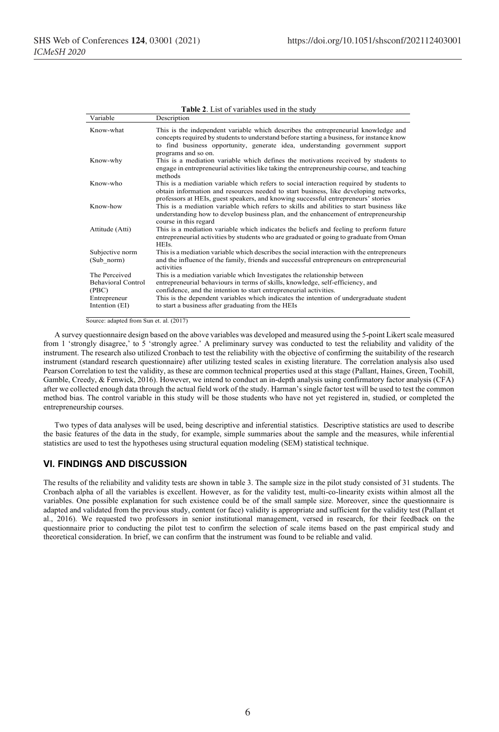| Variable                                                                              | Description                                                                                                                                                                                                                                                                                                                                                                      |
|---------------------------------------------------------------------------------------|----------------------------------------------------------------------------------------------------------------------------------------------------------------------------------------------------------------------------------------------------------------------------------------------------------------------------------------------------------------------------------|
| Know-what                                                                             | This is the independent variable which describes the entrepreneurial knowledge and<br>concepts required by students to understand before starting a business, for instance know<br>to find business opportunity, generate idea, understanding government support<br>programs and so on.                                                                                          |
| Know-why                                                                              | This is a mediation variable which defines the motivations received by students to<br>engage in entrepreneurial activities like taking the entrepreneurship course, and teaching<br>methods                                                                                                                                                                                      |
| Know-who                                                                              | This is a mediation variable which refers to social interaction required by students to<br>obtain information and resources needed to start business, like developing networks,<br>professors at HEIs, guest speakers, and knowing successful entrepreneurs' stories                                                                                                             |
| Know-how                                                                              | This is a mediation variable which refers to skills and abilities to start business like<br>understanding how to develop business plan, and the enhancement of entrepreneurship<br>course in this regard                                                                                                                                                                         |
| Attitude (Atti)                                                                       | This is a mediation variable which indicates the beliefs and feeling to preform future<br>entrepreneurial activities by students who are graduated or going to graduate from Oman<br><b>HEIs</b>                                                                                                                                                                                 |
| Subjective norm<br>(Sub norm)                                                         | This is a mediation variable which describes the social interaction with the entrepreneurs<br>and the influence of the family, friends and successful entrepreneurs on entrepreneurial<br>activities                                                                                                                                                                             |
| The Perceived<br><b>Behavioral Control</b><br>(PBC)<br>Entrepreneur<br>Intention (EI) | This is a mediation variable which Investigates the relationship between<br>entrepreneurial behaviours in terms of skills, knowledge, self-efficiency, and<br>confidence, and the intention to start entrepreneurial activities.<br>This is the dependent variables which indicates the intention of undergraduate student<br>to start a business after graduating from the HEIs |

**Table 2**. List of variables used in the study

Source: adapted from Sun et. al. (2017)

A survey questionnaire design based on the above variables was developed and measured using the 5-point Likert scale measured from 1 'strongly disagree,' to 5 'strongly agree.' A preliminary survey was conducted to test the reliability and validity of the instrument. The research also utilized Cronbach to test the reliability with the objective of confirming the suitability of the research instrument (standard research questionnaire) after utilizing tested scales in existing literature. The correlation analysis also used Pearson Correlation to test the validity, as these are common technical properties used at this stage (Pallant, Haines, Green, Toohill, Gamble, Creedy, & Fenwick, 2016). However, we intend to conduct an in-depth analysis using confirmatory factor analysis (CFA) after we collected enough data through the actual field work of the study. Harman's single factor test will be used to test the common method bias. The control variable in this study will be those students who have not yet registered in, studied, or completed the entrepreneurship courses.

Two types of data analyses will be used, being descriptive and inferential statistics. Descriptive statistics are used to describe the basic features of the data in the study, for example, simple summaries about the sample and the measures, while inferential statistics are used to test the hypotheses using structural equation modeling (SEM) statistical technique.

## **VI. FINDINGS AND DISCUSSION**

The results of the reliability and validity tests are shown in table 3. The sample size in the pilot study consisted of 31 students. The Cronbach alpha of all the variables is excellent. However, as for the validity test, multi-co-linearity exists within almost all the variables. One possible explanation for such existence could be of the small sample size. Moreover, since the questionnaire is adapted and validated from the previous study, content (or face) validity is appropriate and sufficient for the validity test (Pallant et al., 2016). We requested two professors in senior institutional management, versed in research, for their feedback on the questionnaire prior to conducting the pilot test to confirm the selection of scale items based on the past empirical study and theoretical consideration. In brief, we can confirm that the instrument was found to be reliable and valid.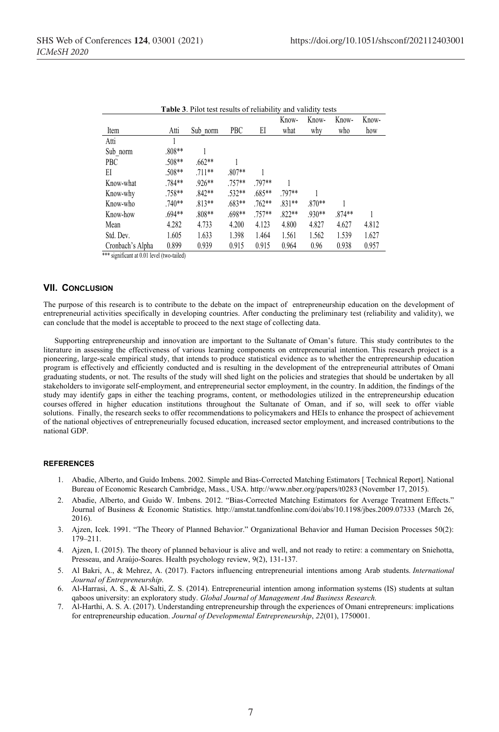| <b>Table 3.</b> Pilot test results of reliability and validity tests |          |          |          |          |          |          |          |       |
|----------------------------------------------------------------------|----------|----------|----------|----------|----------|----------|----------|-------|
|                                                                      |          |          |          |          | Know-    | Know-    | Know-    | Know- |
| Item                                                                 | Atti     | Sub norm | PBC      | EI       | what     | why      | who      | how   |
| Atti                                                                 |          |          |          |          |          |          |          |       |
| Sub norm                                                             | .808**   |          |          |          |          |          |          |       |
| PBC                                                                  | .508**   | $.662**$ |          |          |          |          |          |       |
| EI                                                                   | $.508**$ | $.711**$ | $.807**$ |          |          |          |          |       |
| Know-what                                                            | .784**   | $.926**$ | $.757**$ | 797**    |          |          |          |       |
| Know-why                                                             | .758**   | $.842**$ | $.532**$ | $.685**$ | .797**   |          |          |       |
| Know-who                                                             | $.740**$ | $.813**$ | $.683**$ | $.762**$ | $.831**$ | $.870**$ |          |       |
| Know-how                                                             | $.694**$ | .808**   | .698**   | $.757**$ | $.822**$ | .930**   | $.874**$ |       |
| Mean                                                                 | 4.282    | 4.733    | 4.200    | 4.123    | 4.800    | 4.827    | 4.627    | 4.812 |
| Std. Dev.                                                            | 1.605    | 1.633    | 1.398    | 1.464    | 1.561    | 1.562    | 1.539    | 1.627 |
| Cronbach's Alpha                                                     | 0.899    | 0.939    | 0.915    | 0.915    | 0.964    | 0.96     | 0.938    | 0.957 |

| Table 3. Pilot test results of reliability and validity tests |  |  |
|---------------------------------------------------------------|--|--|
|                                                               |  |  |

\*\*\* significant at 0.01 level (two-tailed)

# **VII. CONCLUSION**

The purpose of this research is to contribute to the debate on the impact of entrepreneurship education on the development of entrepreneurial activities specifically in developing countries. After conducting the preliminary test (reliability and validity), we can conclude that the model is acceptable to proceed to the next stage of collecting data.

Supporting entrepreneurship and innovation are important to the Sultanate of Oman's future. This study contributes to the literature in assessing the effectiveness of various learning components on entrepreneurial intention. This research project is a pioneering, large-scale empirical study, that intends to produce statistical evidence as to whether the entrepreneurship education program is effectively and efficiently conducted and is resulting in the development of the entrepreneurial attributes of Omani graduating students, or not. The results of the study will shed light on the policies and strategies that should be undertaken by all stakeholders to invigorate self-employment, and entrepreneurial sector employment, in the country. In addition, the findings of the study may identify gaps in either the teaching programs, content, or methodologies utilized in the entrepreneurship education courses offered in higher education institutions throughout the Sultanate of Oman, and if so, will seek to offer viable solutions. Finally, the research seeks to offer recommendations to policymakers and HEIs to enhance the prospect of achievement of the national objectives of entrepreneurially focused education, increased sector employment, and increased contributions to the national GDP.

#### **REFERENCES**

- 1. Abadie, Alberto, and Guido Imbens. 2002. Simple and Bias-Corrected Matching Estimators [ Technical Report]. National Bureau of Economic Research Cambridge, Mass., USA. http://www.nber.org/papers/t0283 (November 17, 2015).
- 2. Abadie, Alberto, and Guido W. Imbens. 2012. "Bias-Corrected Matching Estimators for Average Treatment Effects." Journal of Business & Economic Statistics. http://amstat.tandfonline.com/doi/abs/10.1198/jbes.2009.07333 (March 26, 2016).
- 3. Ajzen, Icek. 1991. "The Theory of Planned Behavior." Organizational Behavior and Human Decision Processes 50(2): 179–211.
- 4. Ajzen, I. (2015). The theory of planned behaviour is alive and well, and not ready to retire: a commentary on Sniehotta, Presseau, and Araújo-Soares. Health psychology review, 9(2), 131-137.
- 5. Al Bakri, A., & Mehrez, A. (2017). Factors influencing entrepreneurial intentions among Arab students. *International Journal of Entrepreneurship*.
- 6. Al-Harrasi, A. S., & Al-Salti, Z. S. (2014). Entrepreneurial intention among information systems (IS) students at sultan qaboos university: an exploratory study. *Global Journal of Management And Business Research.*
- 7. Al-Harthi, A. S. A. (2017). Understanding entrepreneurship through the experiences of Omani entrepreneurs: implications for entrepreneurship education. *Journal of Developmental Entrepreneurship*, *22*(01), 1750001.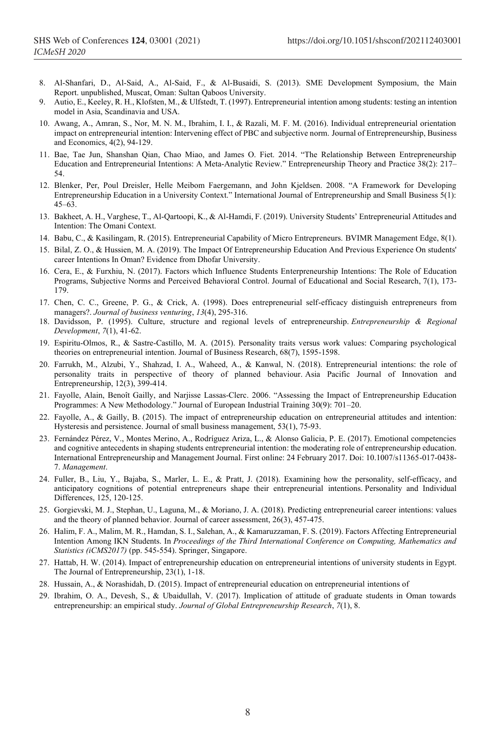- 8. Al-Shanfari, D., Al-Said, A., Al-Said, F., & Al-Busaidi, S. (2013). SME Development Symposium, the Main Report. unpublished, Muscat, Oman: Sultan Qaboos University.
- 9. Autio, E., Keeley, R. H., Klofsten, M., & Ulfstedt, T. (1997). Entrepreneurial intention among students: testing an intention model in Asia, Scandinavia and USA.
- 10. Awang, A., Amran, S., Nor, M. N. M., Ibrahim, I. I., & Razali, M. F. M. (2016). Individual entrepreneurial orientation impact on entrepreneurial intention: Intervening effect of PBC and subjective norm. Journal of Entrepreneurship, Business and Economics, 4(2), 94-129.
- 11. Bae, Tae Jun, Shanshan Qian, Chao Miao, and James O. Fiet. 2014. "The Relationship Between Entrepreneurship Education and Entrepreneurial Intentions: A Meta-Analytic Review." Entrepreneurship Theory and Practice 38(2): 217– 54.
- 12. Blenker, Per, Poul Dreisler, Helle Meibom Faergemann, and John Kjeldsen. 2008. "A Framework for Developing Entrepreneurship Education in a University Context." International Journal of Entrepreneurship and Small Business 5(1):  $45-63$ .
- 13. Bakheet, A. H., Varghese, T., Al-Qartoopi, K., & Al-Hamdi, F. (2019). University Students' Entrepreneurial Attitudes and Intention: The Omani Context.
- 14. Babu, C., & Kasilingam, R. (2015). Entrepreneurial Capability of Micro Entrepreneurs. BVIMR Management Edge, 8(1).
- 15. Bilal, Z. O., & Hussien, M. A. (2019). The Impact Of Entrepreneurship Education And Previous Experience On students' career Intentions In Oman? Evidence from Dhofar University.
- 16. Cera, E., & Furxhiu, N. (2017). Factors which Influence Students Enterpreneurship Intentions: The Role of Education Programs, Subjective Norms and Perceived Behavioral Control. Journal of Educational and Social Research, 7(1), 173- 179.
- 17. Chen, C. C., Greene, P. G., & Crick, A. (1998). Does entrepreneurial self-efficacy distinguish entrepreneurs from managers?. *Journal of business venturing*, *13*(4), 295-316.
- 18. Davidsson, P. (1995). Culture, structure and regional levels of entrepreneurship. *Entrepreneurship & Regional Development*, *7*(1), 41-62.
- 19. Espiritu-Olmos, R., & Sastre-Castillo, M. A. (2015). Personality traits versus work values: Comparing psychological theories on entrepreneurial intention. Journal of Business Research, 68(7), 1595-1598.
- 20. Farrukh, M., Alzubi, Y., Shahzad, I. A., Waheed, A., & Kanwal, N. (2018). Entrepreneurial intentions: the role of personality traits in perspective of theory of planned behaviour. Asia Pacific Journal of Innovation and Entrepreneurship, 12(3), 399-414.
- 21. Fayolle, Alain, Benoît Gailly, and Narjisse Lassas‐Clerc. 2006. "Assessing the Impact of Entrepreneurship Education Programmes: A New Methodology." Journal of European Industrial Training 30(9): 701–20.
- 22. Fayolle, A., & Gailly, B. (2015). The impact of entrepreneurship education on entrepreneurial attitudes and intention: Hysteresis and persistence. Journal of small business management, 53(1), 75-93.
- 23. Fernández Pérez, V., Montes Merino, A., Rodríguez Ariza, L., & Alonso Galicia, P. E. (2017). Emotional competencies and cognitive antecedents in shaping students entrepreneurial intention: the moderating role of entrepreneurship education. International Entrepreneurship and Management Journal. First online: 24 February 2017. Doi: 10.1007/s11365-017-0438- 7. *Management*.
- 24. Fuller, B., Liu, Y., Bajaba, S., Marler, L. E., & Pratt, J. (2018). Examining how the personality, self-efficacy, and anticipatory cognitions of potential entrepreneurs shape their entrepreneurial intentions. Personality and Individual Differences, 125, 120-125.
- 25. Gorgievski, M. J., Stephan, U., Laguna, M., & Moriano, J. A. (2018). Predicting entrepreneurial career intentions: values and the theory of planned behavior. Journal of career assessment, 26(3), 457-475.
- 26. Halim, F. A., Malim, M. R., Hamdan, S. I., Salehan, A., & Kamaruzzaman, F. S. (2019). Factors Affecting Entrepreneurial Intention Among IKN Students. In *Proceedings of the Third International Conference on Computing, Mathematics and Statistics (iCMS2017)* (pp. 545-554). Springer, Singapore.
- 27. Hattab, H. W. (2014). Impact of entrepreneurship education on entrepreneurial intentions of university students in Egypt. The Journal of Entrepreneurship, 23(1), 1-18.
- 28. Hussain, A., & Norashidah, D. (2015). Impact of entrepreneurial education on entrepreneurial intentions of
- 29. Ibrahim, O. A., Devesh, S., & Ubaidullah, V. (2017). Implication of attitude of graduate students in Oman towards entrepreneurship: an empirical study. *Journal of Global Entrepreneurship Research*, *7*(1), 8.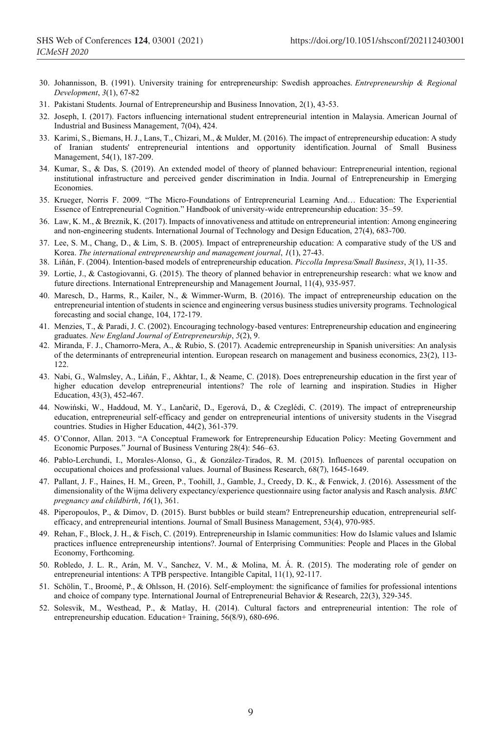- 30. Johannisson, B. (1991). University training for entrepreneurship: Swedish approaches. *Entrepreneurship & Regional Development*, *3*(1), 67-82
- 31. Pakistani Students. Journal of Entrepreneurship and Business Innovation, 2(1), 43-53.
- 32. Joseph, I. (2017). Factors influencing international student entrepreneurial intention in Malaysia. American Journal of Industrial and Business Management, 7(04), 424.
- 33. Karimi, S., Biemans, H. J., Lans, T., Chizari, M., & Mulder, M. (2016). The impact of entrepreneurship education: A study of Iranian students' entrepreneurial intentions and opportunity identification. Journal of Small Business Management, 54(1), 187-209.
- 34. Kumar, S., & Das, S. (2019). An extended model of theory of planned behaviour: Entrepreneurial intention, regional institutional infrastructure and perceived gender discrimination in India. Journal of Entrepreneurship in Emerging Economies.
- 35. Krueger, Norris F. 2009. "The Micro-Foundations of Entrepreneurial Learning And… Education: The Experiential Essence of Entrepreneurial Cognition." Handbook of university-wide entrepreneurship education: 35–59.
- 36. Law, K. M., & Breznik, K. (2017). Impacts of innovativeness and attitude on entrepreneurial intention: Among engineering and non-engineering students. International Journal of Technology and Design Education, 27(4), 683-700.
- 37. Lee, S. M., Chang, D., & Lim, S. B. (2005). Impact of entrepreneurship education: A comparative study of the US and Korea. *The international entrepreneurship and management journal*, *1*(1), 27-43.
- 38. Liñán, F. (2004). Intention-based models of entrepreneurship education. *Piccolla Impresa/Small Business*, *3*(1), 11-35.
- 39. Lortie, J., & Castogiovanni, G. (2015). The theory of planned behavior in entrepreneurship research: what we know and future directions. International Entrepreneurship and Management Journal, 11(4), 935-957.
- 40. Maresch, D., Harms, R., Kailer, N., & Wimmer-Wurm, B. (2016). The impact of entrepreneurship education on the entrepreneurial intention of students in science and engineering versus business studies university programs. Technological forecasting and social change, 104, 172-179.
- 41. Menzies, T., & Paradi, J. C. (2002). Encouraging technology-based ventures: Entrepreneurship education and engineering graduates. *New England Journal of Entrepreneurship*, *5*(2), 9.
- 42. Miranda, F. J., Chamorro-Mera, A., & Rubio, S. (2017). Academic entrepreneurship in Spanish universities: An analysis of the determinants of entrepreneurial intention. European research on management and business economics, 23(2), 113- 122.
- 43. Nabi, G., Walmsley, A., Liñán, F., Akhtar, I., & Neame, C. (2018). Does entrepreneurship education in the first year of higher education develop entrepreneurial intentions? The role of learning and inspiration. Studies in Higher Education, 43(3), 452-467.
- 44. Nowiński, W., Haddoud, M. Y., Lančarič, D., Egerová, D., & Czeglédi, C. (2019). The impact of entrepreneurship education, entrepreneurial self-efficacy and gender on entrepreneurial intentions of university students in the Visegrad countries. Studies in Higher Education, 44(2), 361-379.
- 45. O'Connor, Allan. 2013. "A Conceptual Framework for Entrepreneurship Education Policy: Meeting Government and Economic Purposes." Journal of Business Venturing 28(4): 546–63.
- 46. Pablo-Lerchundi, I., Morales-Alonso, G., & González-Tirados, R. M. (2015). Influences of parental occupation on occupational choices and professional values. Journal of Business Research, 68(7), 1645-1649.
- 47. Pallant, J. F., Haines, H. M., Green, P., Toohill, J., Gamble, J., Creedy, D. K., & Fenwick, J. (2016). Assessment of the dimensionality of the Wijma delivery expectancy/experience questionnaire using factor analysis and Rasch analysis. *BMC pregnancy and childbirth*, *16*(1), 361.
- 48. Piperopoulos, P., & Dimov, D. (2015). Burst bubbles or build steam? Entrepreneurship education, entrepreneurial selfefficacy, and entrepreneurial intentions. Journal of Small Business Management, 53(4), 970-985.
- 49. Rehan, F., Block, J. H., & Fisch, C. (2019). Entrepreneurship in Islamic communities: How do Islamic values and Islamic practices influence entrepreneurship intentions?. Journal of Enterprising Communities: People and Places in the Global Economy, Forthcoming.
- 50. Robledo, J. L. R., Arán, M. V., Sanchez, V. M., & Molina, M. Á. R. (2015). The moderating role of gender on entrepreneurial intentions: A TPB perspective. Intangible Capital, 11(1), 92-117.
- 51. Schölin, T., Broomé, P., & Ohlsson, H. (2016). Self-employment: the significance of families for professional intentions and choice of company type. International Journal of Entrepreneurial Behavior & Research, 22(3), 329-345.
- 52. Solesvik, M., Westhead, P., & Matlay, H. (2014). Cultural factors and entrepreneurial intention: The role of entrepreneurship education. Education+ Training, 56(8/9), 680-696.